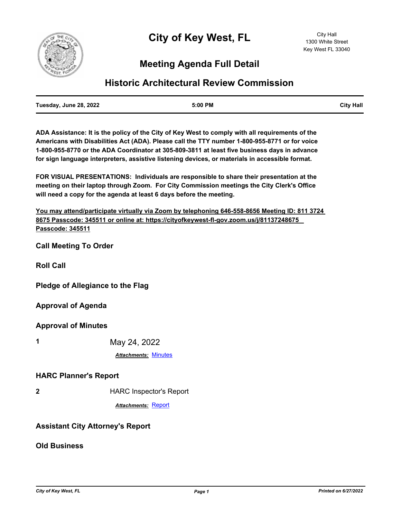

# **Meeting Agenda Full Detail**

## **Historic Architectural Review Commission**

| Tuesday, June 28, 2022 | 5:00 PM | <b>City Hall</b> |
|------------------------|---------|------------------|
|                        |         |                  |

**ADA Assistance: It is the policy of the City of Key West to comply with all requirements of the Americans with Disabilities Act (ADA). Please call the TTY number 1-800-955-8771 or for voice 1-800-955-8770 or the ADA Coordinator at 305-809-3811 at least five business days in advance for sign language interpreters, assistive listening devices, or materials in accessible format.**

**FOR VISUAL PRESENTATIONS: Individuals are responsible to share their presentation at the meeting on their laptop through Zoom. For City Commission meetings the City Clerk's Office will need a copy for the agenda at least 6 days before the meeting.**

**You may attend/participate virtually via Zoom by telephoning 646-558-8656 Meeting ID: 811 3724 8675 Passcode: 345511 or online at: https://cityofkeywest-fl-gov.zoom.us/j/81137248675 Passcode: 345511**

**Call Meeting To Order**

**Roll Call**

**Pledge of Allegiance to the Flag**

**Approval of Agenda**

**Approval of Minutes**

**1** May 24, 2022

*Attachments:* [Minutes](http://KeyWest.legistar.com/gateway.aspx?M=F&ID=f6ea6924-f55e-4f50-ad5e-6a33a8ce9592.pdf)

#### **HARC Planner's Report**

**2** HARC Inspector's Report

*Attachments:* [Report](http://KeyWest.legistar.com/gateway.aspx?M=F&ID=eab08eb0-00b0-46f5-a64c-802bdc58ed2e.pdf)

### **Assistant City Attorney's Report**

**Old Business**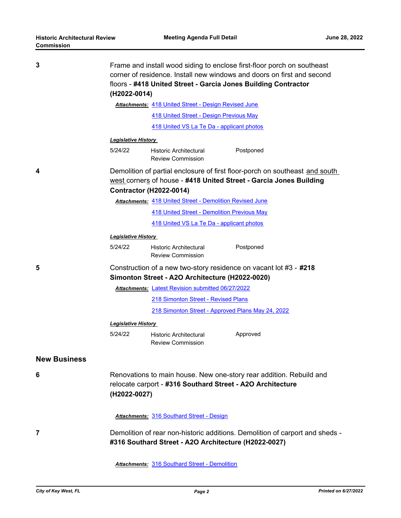| 3                   | Frame and install wood siding to enclose first-floor porch on southeast<br>corner of residence. Install new windows and doors on first and second<br>floors - #418 United Street - Garcia Jones Building Contractor<br>(H2022-0014) |                                                           |                                                                              |
|---------------------|-------------------------------------------------------------------------------------------------------------------------------------------------------------------------------------------------------------------------------------|-----------------------------------------------------------|------------------------------------------------------------------------------|
|                     | Attachments: 418 United Street - Design Revised June                                                                                                                                                                                |                                                           |                                                                              |
|                     |                                                                                                                                                                                                                                     | <b>418 United Street - Design Previous May</b>            |                                                                              |
|                     |                                                                                                                                                                                                                                     | 418 United VS La Te Da - applicant photos                 |                                                                              |
|                     | Legislative History                                                                                                                                                                                                                 |                                                           |                                                                              |
|                     | 5/24/22                                                                                                                                                                                                                             | Historic Architectural<br><b>Review Commission</b>        | Postponed                                                                    |
| 4                   | Demolition of partial enclosure of first floor-porch on southeast and south<br>west corners of house - #418 United Street - Garcia Jones Building<br><b>Contractor (H2022-0014)</b>                                                 |                                                           |                                                                              |
|                     | <b>Attachments: 418 United Street - Demolition Revised June</b>                                                                                                                                                                     |                                                           |                                                                              |
|                     |                                                                                                                                                                                                                                     | <b>418 United Street - Demolition Previous May</b>        |                                                                              |
|                     |                                                                                                                                                                                                                                     | 418 United VS La Te Da - applicant photos                 |                                                                              |
|                     | <b>Legislative History</b>                                                                                                                                                                                                          |                                                           |                                                                              |
|                     | 5/24/22                                                                                                                                                                                                                             | Historic Architectural<br><b>Review Commission</b>        | Postponed                                                                    |
| 5                   | Construction of a new two-story residence on vacant lot #3 - #218<br>Simonton Street - A2O Architecture (H2022-0020)<br><b>Attachments: Latest Revision submitted 06/27/2022</b>                                                    |                                                           |                                                                              |
|                     |                                                                                                                                                                                                                                     |                                                           |                                                                              |
|                     |                                                                                                                                                                                                                                     | 218 Simonton Street - Revised Plans                       |                                                                              |
|                     |                                                                                                                                                                                                                                     | 218 Simonton Street - Approved Plans May 24, 2022         |                                                                              |
|                     | <b>Legislative History</b>                                                                                                                                                                                                          |                                                           |                                                                              |
|                     | 5/24/22                                                                                                                                                                                                                             | <b>Historic Architectural</b><br><b>Review Commission</b> | Approved                                                                     |
| <b>New Business</b> |                                                                                                                                                                                                                                     |                                                           |                                                                              |
| 6                   | Renovations to main house. New one-story rear addition. Rebuild and<br>relocate carport - #316 Southard Street - A2O Architecture<br>(H2022-0027)                                                                                   |                                                           |                                                                              |
|                     |                                                                                                                                                                                                                                     | <b>Attachments: 316 Southard Street - Design</b>          |                                                                              |
| 7                   |                                                                                                                                                                                                                                     | #316 Southard Street - A2O Architecture (H2022-0027)      | Demolition of rear non-historic additions. Demolition of carport and sheds - |
|                     |                                                                                                                                                                                                                                     | <b>Attachments: 316 Southard Street - Demolition</b>      |                                                                              |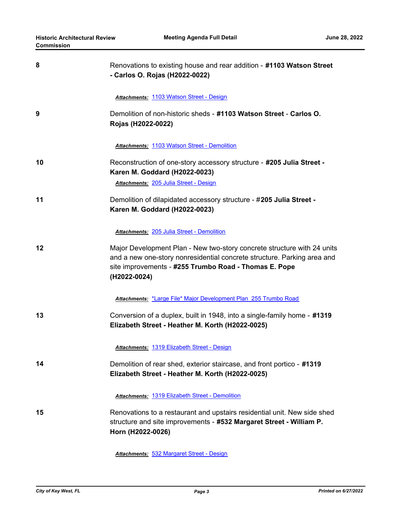| 8  | Renovations to existing house and rear addition - #1103 Watson Street<br>- Carlos O. Rojas (H2022-0022)                                                                                                                     |
|----|-----------------------------------------------------------------------------------------------------------------------------------------------------------------------------------------------------------------------------|
| 9  | Attachments: 1103 Watson Street - Design<br>Demolition of non-historic sheds - #1103 Watson Street - Carlos O.<br>Rojas (H2022-0022)                                                                                        |
|    | <b>Attachments: 1103 Watson Street - Demolition</b>                                                                                                                                                                         |
| 10 | Reconstruction of one-story accessory structure - #205 Julia Street -<br>Karen M. Goddard (H2022-0023)<br>Attachments: 205 Julia Street - Design                                                                            |
| 11 | Demolition of dilapidated accessory structure - #205 Julia Street -<br>Karen M. Goddard (H2022-0023)                                                                                                                        |
|    | <b>Attachments: 205 Julia Street - Demolition</b>                                                                                                                                                                           |
| 12 | Major Development Plan - New two-story concrete structure with 24 units<br>and a new one-story nonresidential concrete structure. Parking area and<br>site improvements - #255 Trumbo Road - Thomas E. Pope<br>(H2022-0024) |
|    | Attachments: *Large File* Major Development Plan 255 Trumbo Road                                                                                                                                                            |
| 13 | Conversion of a duplex, built in 1948, into a single-family home - #1319<br>Elizabeth Street - Heather M. Korth (H2022-0025)                                                                                                |
|    | Attachments: 1319 Elizabeth Street - Design                                                                                                                                                                                 |
| 14 | Demolition of rear shed, exterior staircase, and front portico - #1319<br>Elizabeth Street - Heather M. Korth (H2022-0025)                                                                                                  |
|    | <b>Attachments: 1319 Elizabeth Street - Demolition</b>                                                                                                                                                                      |
| 15 | Renovations to a restaurant and upstairs residential unit. New side shed<br>structure and site improvements - #532 Margaret Street - William P.<br>Horn (H2022-0026)                                                        |
|    |                                                                                                                                                                                                                             |

*Attachments:* [532 Margaret Street - Design](http://KeyWest.legistar.com/gateway.aspx?M=F&ID=e91dfc56-efb4-46bd-a2bd-1093206d8183.pdf)